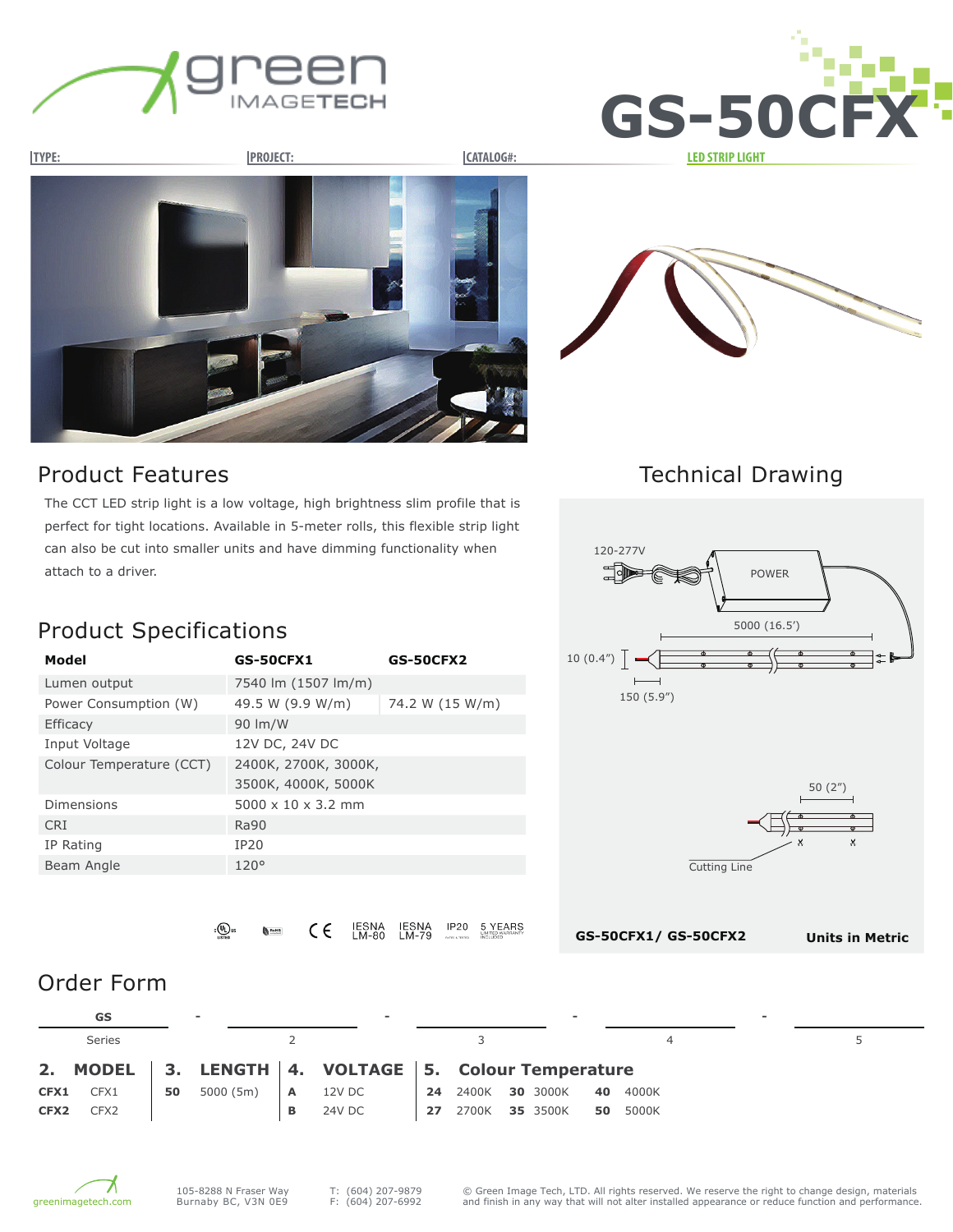





#### Product Features

The CCT LED strip light is a low voltage, high brightness slim profile that is perfect for tight locations. Available in 5-meter rolls, this flexible strip light can also be cut into smaller units and have dimming functionality when attach to a driver.

## Technical Drawing



# Product Specifications

| Model                    | <b>GS-50CFX1</b>               | <b>GS-50CFX2</b> |
|--------------------------|--------------------------------|------------------|
| Lumen output             | 7540 lm (1507 lm/m)            |                  |
| Power Consumption (W)    | 49.5 W (9.9 W/m)               | 74.2 W (15 W/m)  |
| <b>Efficacy</b>          | 90 lm/W                        |                  |
| Input Voltage            | 12V DC, 24V DC                 |                  |
| Colour Temperature (CCT) | 2400K, 2700K, 3000K,           |                  |
|                          | 3500K, 4000K, 5000K            |                  |
| Dimensions               | $5000 \times 10 \times 3.2$ mm |                  |
| <b>CRI</b>               | <b>Ra90</b>                    |                  |
| IP Rating                | IP20                           |                  |
| Beam Angle               | 120°                           |                  |
|                          |                                |                  |

IESNA<br>LM-79 IESNA<br>LM-80 **IP20** 5 YEARS  $\epsilon$ ∘®

#### Order Form

|                  | GS               |    | $\overline{\phantom{a}}$ |              | $\sim$                                              |    |                | $\overline{\phantom{a}}$ |     |       | $\overline{\phantom{0}}$ |  |
|------------------|------------------|----|--------------------------|--------------|-----------------------------------------------------|----|----------------|--------------------------|-----|-------|--------------------------|--|
|                  | <b>Series</b>    |    |                          |              |                                                     |    |                |                          |     | 4     |                          |  |
|                  |                  |    |                          |              | 2. MODEL 3. LENGTH 4. VOLTAGE 5. Colour Temperature |    |                |                          |     |       |                          |  |
| CFX1             | CFX1             | 50 | 5000(5m)                 | $\mathsf{A}$ | 12V DC                                              | 24 | 2400K 30 3000K |                          | -40 | 4000K |                          |  |
| CFX <sub>2</sub> | CFX <sub>2</sub> |    |                          | в            | 24V DC                                              | 27 | 2700K          | 35 3500K                 | 50  | 5000K |                          |  |



T: (604) 207-9879 F: (604) 207-6992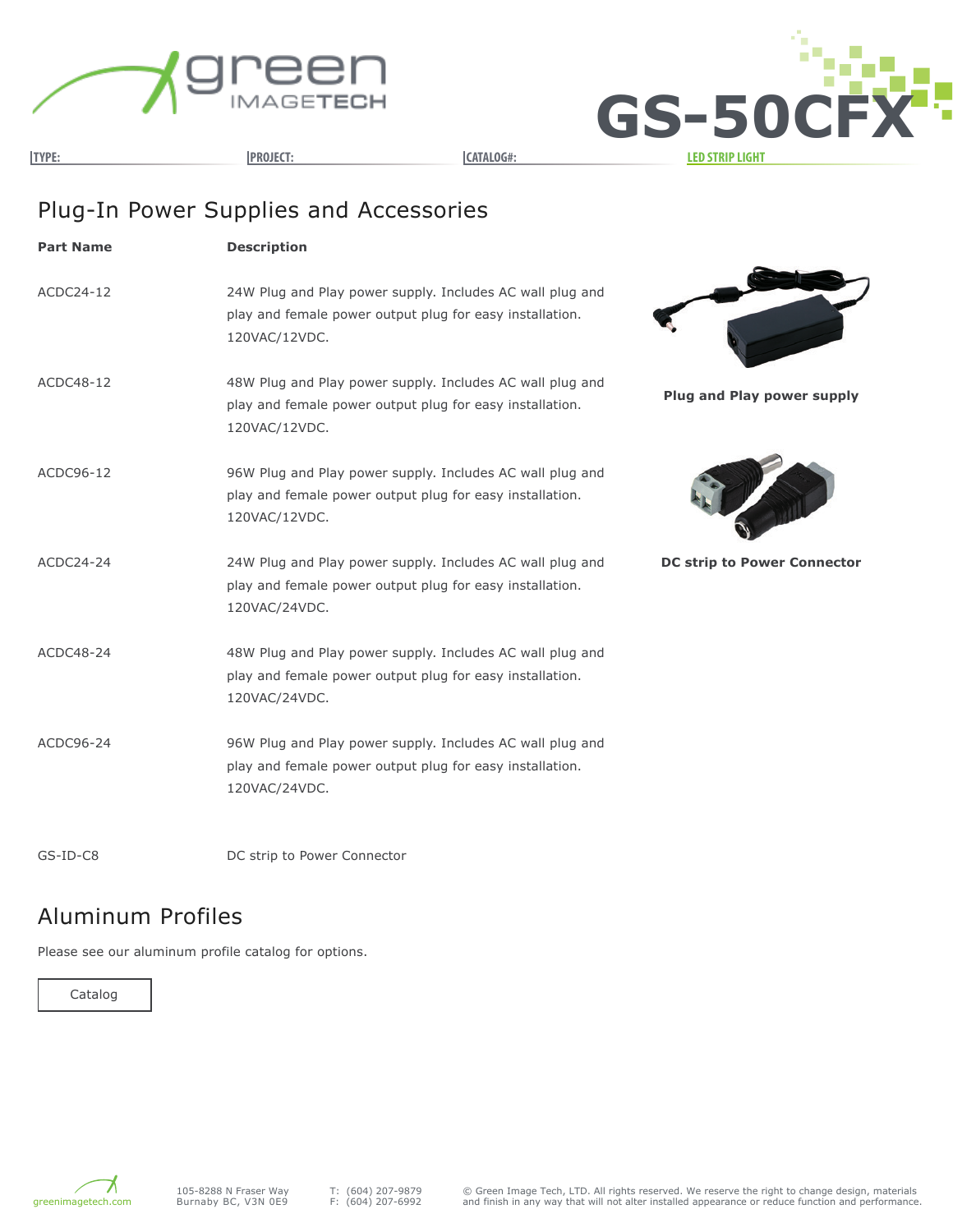



# Plug-In Power Supplies and Accessories

| <b>Part Name</b> | <b>Description</b>                                                                                                                     |                                    |
|------------------|----------------------------------------------------------------------------------------------------------------------------------------|------------------------------------|
| ACDC24-12        | 24W Plug and Play power supply. Includes AC wall plug and<br>play and female power output plug for easy installation.<br>120VAC/12VDC. |                                    |
| ACDC48-12        | 48W Plug and Play power supply. Includes AC wall plug and<br>play and female power output plug for easy installation.<br>120VAC/12VDC. | <b>Plug and Play power supply</b>  |
| ACDC96-12        | 96W Plug and Play power supply. Includes AC wall plug and<br>play and female power output plug for easy installation.<br>120VAC/12VDC. |                                    |
| ACDC24-24        | 24W Plug and Play power supply. Includes AC wall plug and<br>play and female power output plug for easy installation.<br>120VAC/24VDC. | <b>DC strip to Power Connector</b> |
| ACDC48-24        | 48W Plug and Play power supply. Includes AC wall plug and<br>play and female power output plug for easy installation.<br>120VAC/24VDC. |                                    |
| ACDC96-24        | 96W Plug and Play power supply. Includes AC wall plug and<br>play and female power output plug for easy installation.<br>120VAC/24VDC. |                                    |
|                  |                                                                                                                                        |                                    |

GS-ID-C8

DC strip to Power Connector

### Aluminum Profiles

Please see our aluminum profile catalog for options.



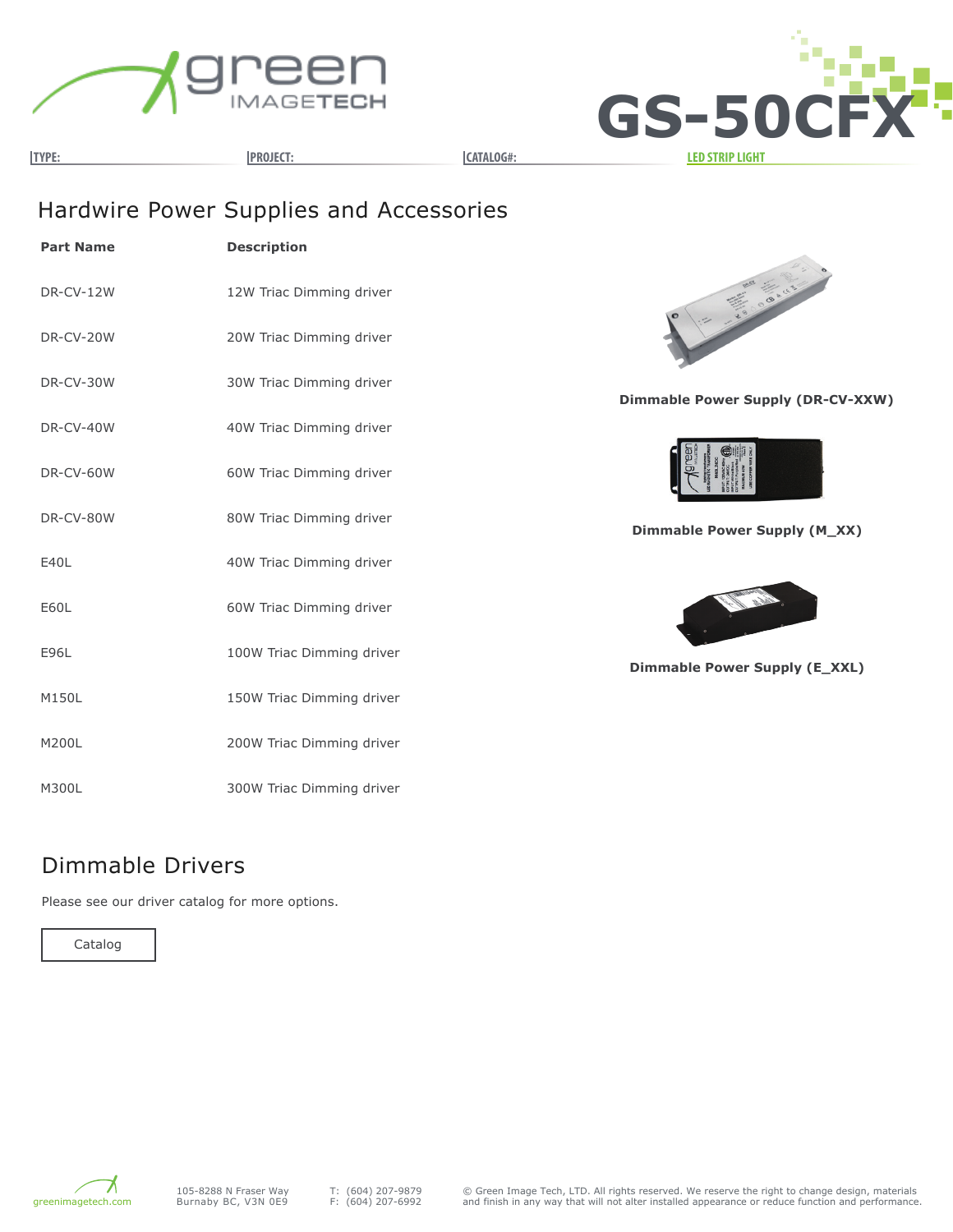



**TYPE: PROJECT: CATALOG#: LED STRIP LIGHT**

# Hardwire Power Supplies and Accessories

| <b>Part Name</b> | <b>Description</b>        |
|------------------|---------------------------|
| <b>DR-CV-12W</b> | 12W Triac Dimming driver  |
| DR-CV-20W        | 20W Triac Dimming driver  |
| DR-CV-30W        | 30W Triac Dimming driver  |
| DR-CV-40W        | 40W Triac Dimming driver  |
| DR-CV-60W        | 60W Triac Dimming driver  |
| DR-CV-80W        | 80W Triac Dimming driver  |
| E40L             | 40W Triac Dimming driver  |
| E60L             | 60W Triac Dimming driver  |
| E96L             | 100W Triac Dimming driver |
| M150L            | 150W Triac Dimming driver |
| M200L            | 200W Triac Dimming driver |
| M300L            | 300W Triac Dimming driver |



**Dimmable Power Supply (DR-CV-XXW)**



**Dimmable Power Supply (M\_XX)**



**Dimmable Power Supply (E\_XXL)**

#### Dimmable Drivers

Please see our driver catalog for more options.

Catalog

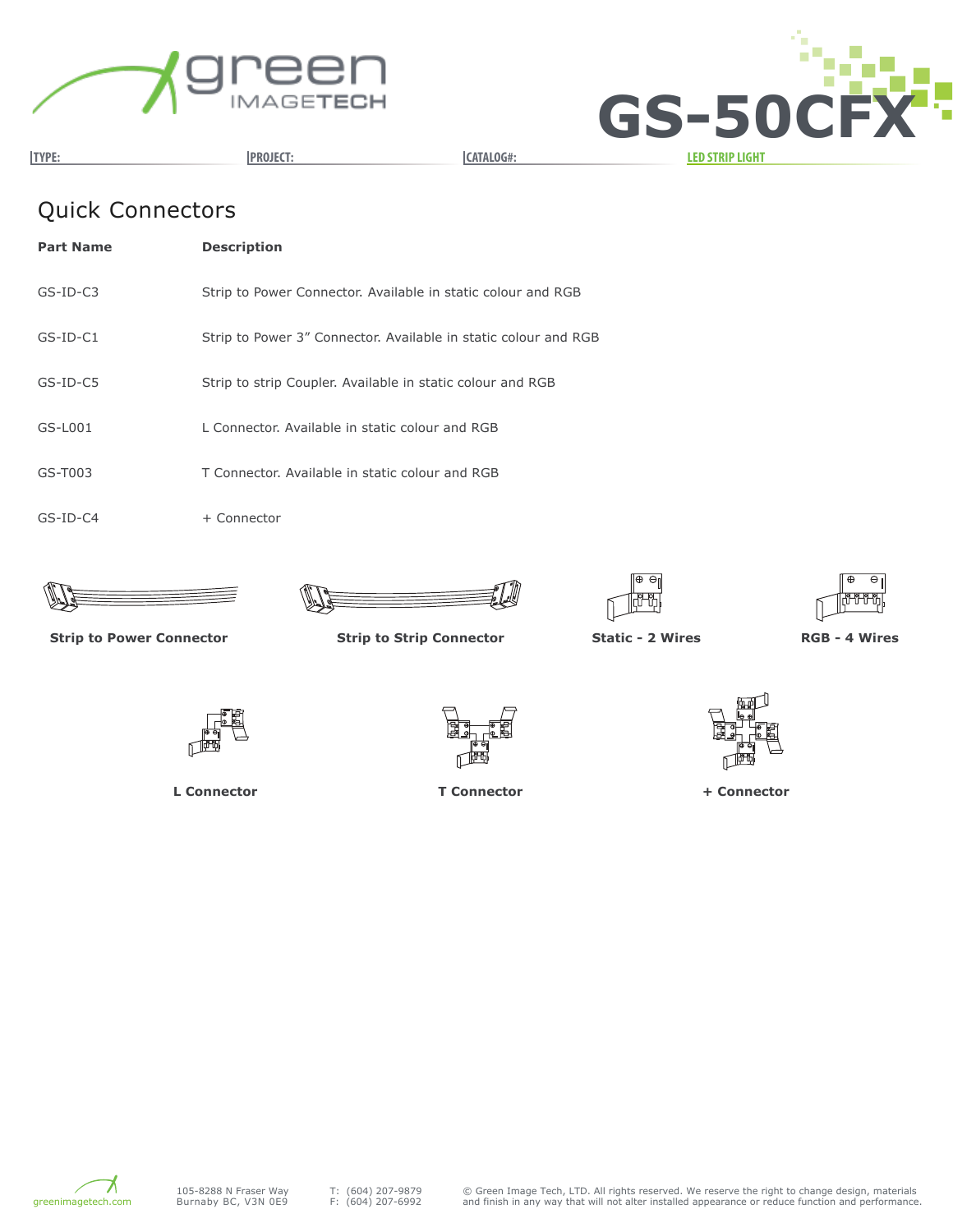



# Quick Connectors

| <b>Part Name</b> | <b>Description</b>                                              |
|------------------|-----------------------------------------------------------------|
| $GS-ID-C3$       | Strip to Power Connector. Available in static colour and RGB    |
| $GS-ID-C1$       | Strip to Power 3" Connector. Available in static colour and RGB |
| $GS-ID-CS$       | Strip to strip Coupler. Available in static colour and RGB      |
| $GS-L001$        | L Connector. Available in static colour and RGB                 |
| $GS-T003$        | T Connector. Available in static colour and RGB                 |
| $GS$ -ID-C4      | + Connector                                                     |









**Strip to Power Connector Strip to Strip Connector Static - 2 Wires RGB - 4 Wires**



**L Connector T Connector + Connector**